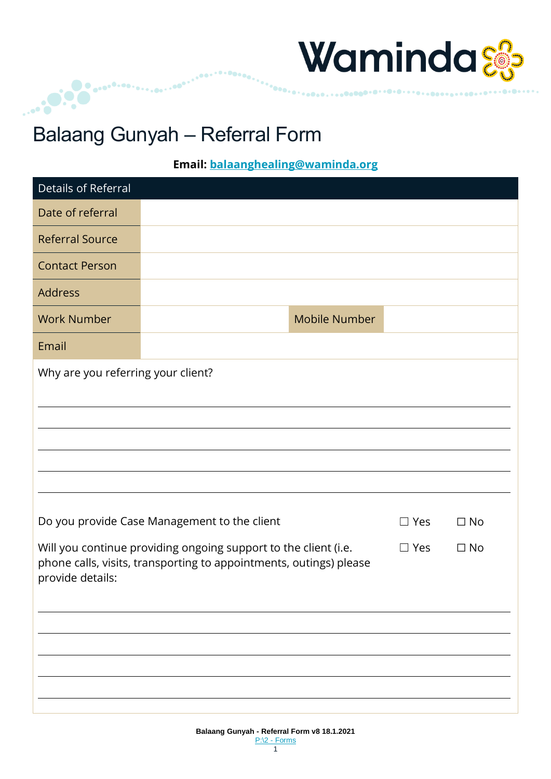

### Balaang Gunyah – Referral Form

...<sup>....</sup>..

**Email: [balaanghealing@waminda.org](mailto:balaanghealing@waminda.org)**

| Details of Referral                                                                                                                                                                  |                                              |  |            |           |
|--------------------------------------------------------------------------------------------------------------------------------------------------------------------------------------|----------------------------------------------|--|------------|-----------|
| Date of referral                                                                                                                                                                     |                                              |  |            |           |
| <b>Referral Source</b>                                                                                                                                                               |                                              |  |            |           |
| <b>Contact Person</b>                                                                                                                                                                |                                              |  |            |           |
| Address                                                                                                                                                                              |                                              |  |            |           |
| <b>Work Number</b>                                                                                                                                                                   | <b>Mobile Number</b>                         |  |            |           |
| Email                                                                                                                                                                                |                                              |  |            |           |
| Why are you referring your client?                                                                                                                                                   |                                              |  |            |           |
|                                                                                                                                                                                      |                                              |  |            |           |
|                                                                                                                                                                                      |                                              |  |            |           |
|                                                                                                                                                                                      |                                              |  |            |           |
|                                                                                                                                                                                      |                                              |  |            |           |
|                                                                                                                                                                                      |                                              |  |            |           |
|                                                                                                                                                                                      | Do you provide Case Management to the client |  | $\Box$ Yes | $\Box$ No |
| Will you continue providing ongoing support to the client (i.e.<br>$\Box$ Yes<br>$\Box$ No<br>phone calls, visits, transporting to appointments, outings) please<br>provide details: |                                              |  |            |           |
|                                                                                                                                                                                      |                                              |  |            |           |
|                                                                                                                                                                                      |                                              |  |            |           |
|                                                                                                                                                                                      |                                              |  |            |           |
|                                                                                                                                                                                      |                                              |  |            |           |
|                                                                                                                                                                                      |                                              |  |            |           |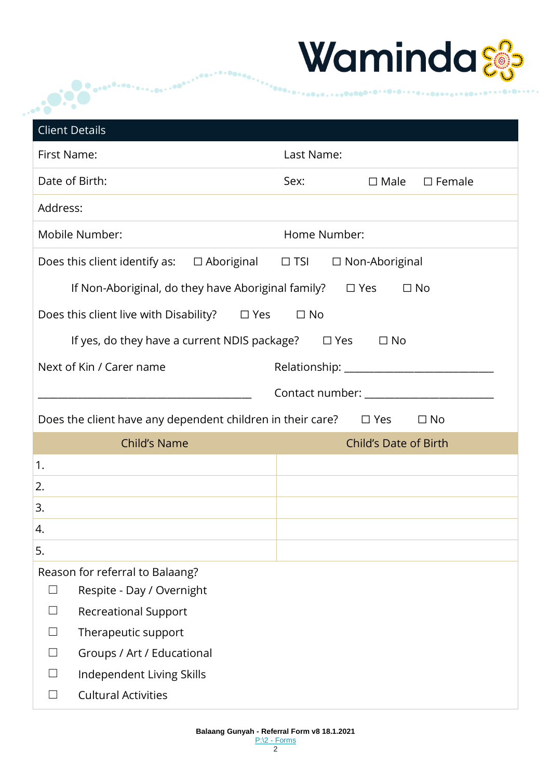

|             |                                                                       |                              |              |                       | WAMINGA                                  |
|-------------|-----------------------------------------------------------------------|------------------------------|--------------|-----------------------|------------------------------------------|
|             |                                                                       |                              |              |                       |                                          |
|             | <b>Client Details</b>                                                 |                              |              |                       |                                          |
| First Name: |                                                                       |                              | Last Name:   |                       |                                          |
|             | Date of Birth:                                                        |                              | Sex:         |                       | $\Box$ Male $\Box$ Female                |
| Address:    |                                                                       |                              |              |                       |                                          |
|             | Mobile Number:                                                        |                              | Home Number: |                       |                                          |
|             | Does this client identify as:                                         | $\Box$ Aboriginal $\Box$ TSI |              | $\Box$ Non-Aboriginal |                                          |
|             | If Non-Aboriginal, do they have Aboriginal family?                    |                              |              | $\square$ Yes         | $\Box$ No                                |
|             | Does this client live with Disability? $\square$ Yes                  |                              | $\Box$ No    |                       |                                          |
|             | If yes, do they have a current NDIS package? $\Box$ Yes               |                              |              | $\Box$ No             |                                          |
|             | Next of Kin / Carer name                                              |                              |              |                       |                                          |
|             |                                                                       |                              |              |                       | Contact number: ________________________ |
|             |                                                                       |                              |              |                       |                                          |
|             | Does the client have any dependent children in their care? $\Box$ Yes |                              |              |                       | $\square$ No                             |
| 1.          | Child's Name                                                          |                              |              |                       | <b>Child's Date of Birth</b>             |
| 2.          |                                                                       |                              |              |                       |                                          |
| 3.          |                                                                       |                              |              |                       |                                          |
| 4.          |                                                                       |                              |              |                       |                                          |
| 5.          |                                                                       |                              |              |                       |                                          |
|             | Reason for referral to Balaang?                                       |                              |              |                       |                                          |
| $\Box$      | Respite - Day / Overnight                                             |                              |              |                       |                                          |
| $\Box$      | <b>Recreational Support</b>                                           |                              |              |                       |                                          |
| $\Box$      | Therapeutic support                                                   |                              |              |                       |                                          |
| $\Box$      | Groups / Art / Educational                                            |                              |              |                       |                                          |
| $\perp$     | Independent Living Skills                                             |                              |              |                       |                                          |
|             | <b>Cultural Activities</b>                                            |                              |              |                       |                                          |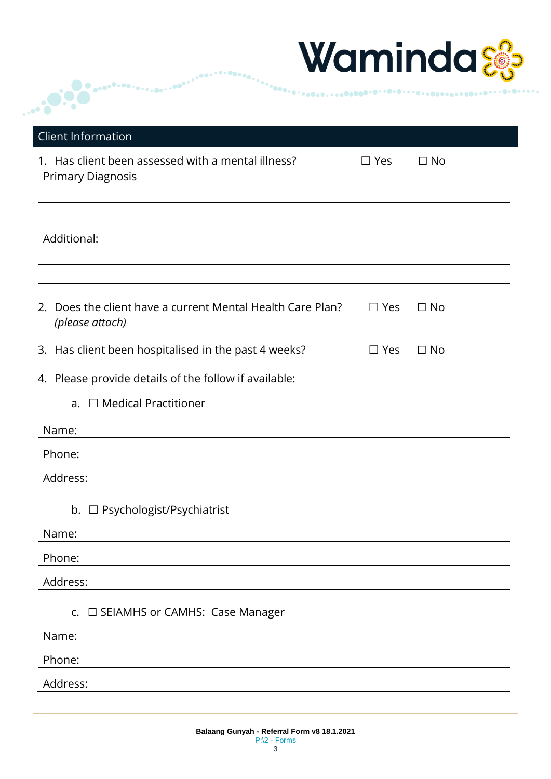

| Client Information                                                                               |            |           |
|--------------------------------------------------------------------------------------------------|------------|-----------|
| 1. Has client been assessed with a mental illness?<br><b>Primary Diagnosis</b>                   | $\Box$ Yes | $\Box$ No |
| Additional:                                                                                      |            |           |
| Does the client have a current Mental Health Care Plan?<br>2.<br>(please attach)                 | $\Box$ Yes | $\Box$ No |
| 3. Has client been hospitalised in the past 4 weeks?                                             | $\Box$ Yes | $\Box$ No |
| 4. Please provide details of the follow if available:<br>a. $\Box$ Medical Practitioner<br>Name: |            |           |
| Phone:                                                                                           |            |           |
| Address:                                                                                         |            |           |
| b. □ Psychologist/Psychiatrist<br>Name:                                                          |            |           |
| Phone:                                                                                           |            |           |
| Address:                                                                                         |            |           |
| c. □ SEIAMHS or CAMHS: Case Manager                                                              |            |           |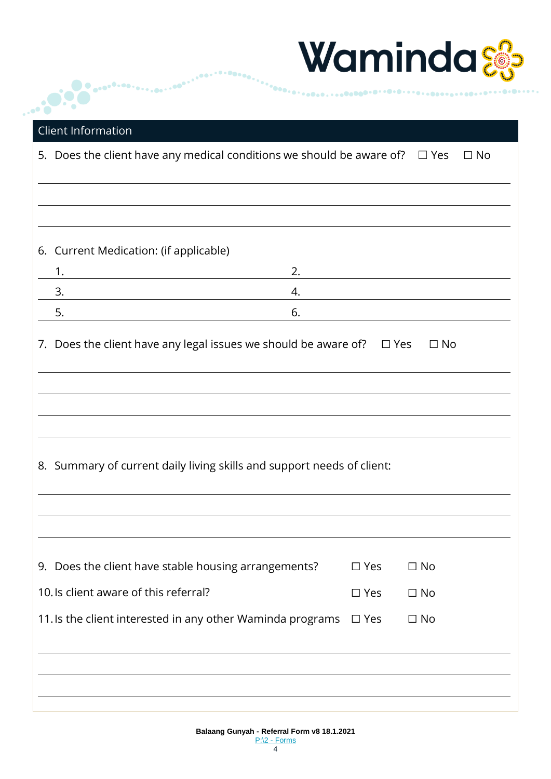| Waminda‰ |  |
|----------|--|
|----------|--|

| <b>Client Information</b><br>5. Does the client have any medical conditions we should be aware of? $\square$ Yes |               |                                                                               | $\square$ No |
|------------------------------------------------------------------------------------------------------------------|---------------|-------------------------------------------------------------------------------|--------------|
|                                                                                                                  |               |                                                                               |              |
| 6. Current Medication: (if applicable)                                                                           |               |                                                                               |              |
| 1.<br>2.                                                                                                         |               |                                                                               |              |
| 3.<br>4.                                                                                                         |               |                                                                               |              |
| 6.<br>5.                                                                                                         |               |                                                                               |              |
|                                                                                                                  |               | 7. Does the client have any legal issues we should be aware of? $\square$ Yes |              |
|                                                                                                                  |               |                                                                               |              |
| 8. Summary of current daily living skills and support needs of client:                                           |               |                                                                               |              |
| 9. Does the client have stable housing arrangements?                                                             | $\square$ Yes | $\Box$ No                                                                     |              |
| 10. Is client aware of this referral?                                                                            | $\square$ Yes | $\Box$ No                                                                     |              |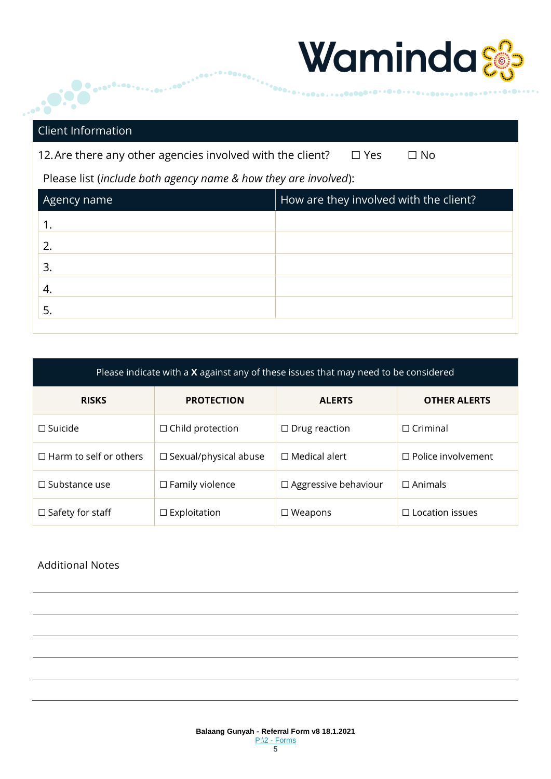## Waminda&

# Client Information

 $\bullet$ 

aco<sup>co.co.</sup>c.

 $\ddotsc$  , and  $\ddotsc$ 

12. Are there any other agencies involved with the client? □ Yes □ No

Please list (*include both agency name & how they are involved*):

| Agency name | How are they involved with the client? |
|-------------|----------------------------------------|
|             |                                        |
| 2.          |                                        |
| 3.          |                                        |
| 4.          |                                        |
| 5.          |                                        |
|             |                                        |

 $0.00000$ 

| Please indicate with a X against any of these issues that may need to be considered |                                 |                             |                           |
|-------------------------------------------------------------------------------------|---------------------------------|-----------------------------|---------------------------|
| <b>RISKS</b>                                                                        | <b>PROTECTION</b>               | <b>ALERTS</b>               | <b>OTHER ALERTS</b>       |
| $\square$ Suicide                                                                   | $\Box$ Child protection         | $\Box$ Drug reaction        | $\Box$ Criminal           |
| $\Box$ Harm to self or others                                                       | $\square$ Sexual/physical abuse | $\Box$ Medical alert        | $\Box$ Police involvement |
| $\Box$ Substance use                                                                | $\Box$ Family violence          | $\Box$ Aggressive behaviour | $\Box$ Animals            |
| $\Box$ Safety for staff                                                             | $\Box$ Exploitation             | $\square$ Weapons           | $\Box$ Location issues    |

### Additional Notes